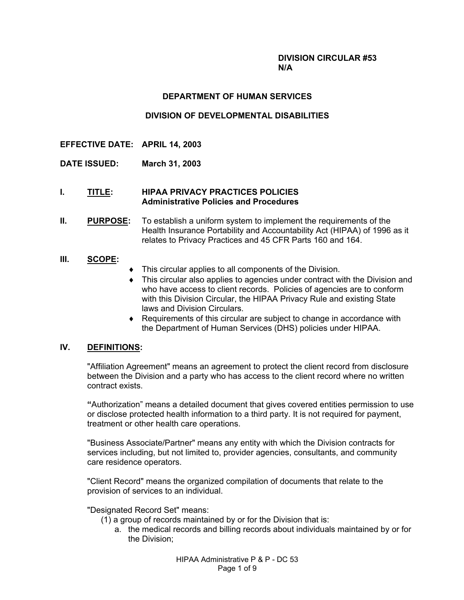#### **DIVISION CIRCULAR #53 N/A**

#### **DEPARTMENT OF HUMAN SERVICES**

### **DIVISION OF DEVELOPMENTAL DISABILITIES**

- **EFFECTIVE DATE: APRIL 14, 2003**
- **DATE ISSUED: March 31, 2003**

#### **I. TITLE: HIPAA PRIVACY PRACTICES POLICIES Administrative Policies and Procedures**

**II. PURPOSE:** To establish a uniform system to implement the requirements of the Health Insurance Portability and Accountability Act (HIPAA) of 1996 as it relates to Privacy Practices and 45 CFR Parts 160 and 164.

#### **III. SCOPE:**

- This circular applies to all components of the Division.
- ♦ This circular also applies to agencies under contract with the Division and who have access to client records. Policies of agencies are to conform with this Division Circular, the HIPAA Privacy Rule and existing State laws and Division Circulars.
- ♦ Requirements of this circular are subject to change in accordance with the Department of Human Services (DHS) policies under HIPAA.

## **IV. DEFINITIONS:**

"Affiliation Agreement" means an agreement to protect the client record from disclosure between the Division and a party who has access to the client record where no written contract exists.

**ì**Authorizationî means a detailed document that gives covered entities permission to use or disclose protected health information to a third party. It is not required for payment, treatment or other health care operations.

"Business Associate/Partner" means any entity with which the Division contracts for services including, but not limited to, provider agencies, consultants, and community care residence operators.

"Client Record" means the organized compilation of documents that relate to the provision of services to an individual.

"Designated Record Set" means:

- (1) a group of records maintained by or for the Division that is:
	- a. the medical records and billing records about individuals maintained by or for the Division;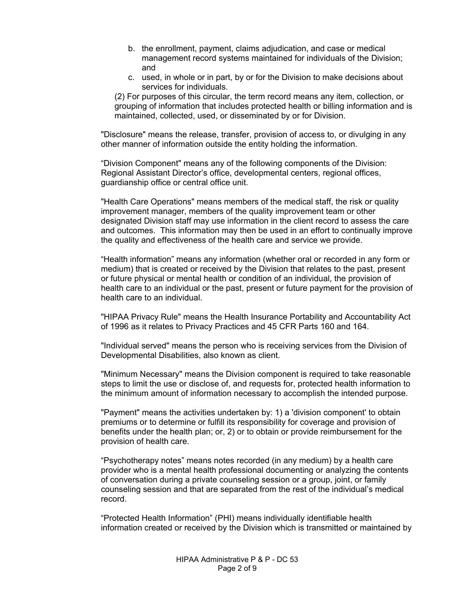- b. the enrollment, payment, claims adjudication, and case or medical management record systems maintained for individuals of the Division; and
- c. used, in whole or in part, by or for the Division to make decisions about services for individuals.

(2) For purposes of this circular, the term record means any item, collection, or grouping of information that includes protected health or billing information and is maintained, collected, used, or disseminated by or for Division.

"Disclosure" means the release, transfer, provision of access to, or divulging in any other manner of information outside the entity holding the information.

ìDivision Component" means any of the following components of the Division: Regional Assistant Director's office, developmental centers, regional offices, guardianship office or central office unit.

"Health Care Operations" means members of the medical staff, the risk or quality improvement manager, members of the quality improvement team or other designated Division staff may use information in the client record to assess the care and outcomes. This information may then be used in an effort to continually improve the quality and effectiveness of the health care and service we provide.

ìHealth informationî means any information (whether oral or recorded in any form or medium) that is created or received by the Division that relates to the past, present or future physical or mental health or condition of an individual, the provision of health care to an individual or the past, present or future payment for the provision of health care to an individual.

"HIPAA Privacy Rule" means the Health Insurance Portability and Accountability Act of 1996 as it relates to Privacy Practices and 45 CFR Parts 160 and 164.

"Individual served" means the person who is receiving services from the Division of Developmental Disabilities, also known as client.

"Minimum Necessary" means the Division component is required to take reasonable steps to limit the use or disclose of, and requests for, protected health information to the minimum amount of information necessary to accomplish the intended purpose.

"Payment" means the activities undertaken by: 1) a 'division component' to obtain premiums or to determine or fulfill its responsibility for coverage and provision of benefits under the health plan; or, 2) or to obtain or provide reimbursement for the provision of health care.

ìPsychotherapy notesî means notes recorded (in any medium) by a health care provider who is a mental health professional documenting or analyzing the contents of conversation during a private counseling session or a group, joint, or family counseling session and that are separated from the rest of the individual's medical record.

ìProtected Health Informationî (PHI) means individually identifiable health information created or received by the Division which is transmitted or maintained by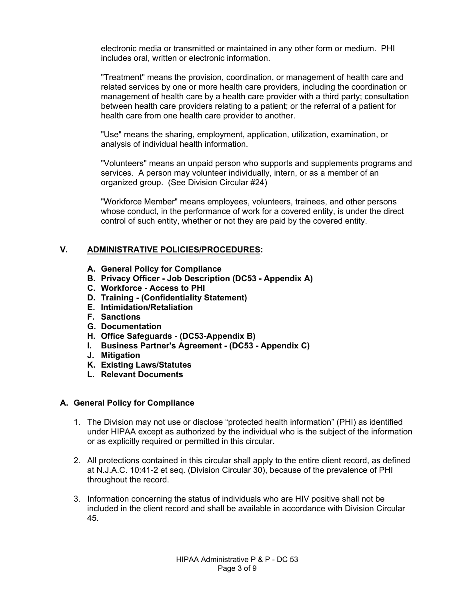electronic media or transmitted or maintained in any other form or medium. PHI includes oral, written or electronic information.

"Treatment" means the provision, coordination, or management of health care and related services by one or more health care providers, including the coordination or management of health care by a health care provider with a third party; consultation between health care providers relating to a patient; or the referral of a patient for health care from one health care provider to another.

"Use" means the sharing, employment, application, utilization, examination, or analysis of individual health information.

"Volunteers" means an unpaid person who supports and supplements programs and services. A person may volunteer individually, intern, or as a member of an organized group. (See Division Circular #24)

"Workforce Member" means employees, volunteers, trainees, and other persons whose conduct, in the performance of work for a covered entity, is under the direct control of such entity, whether or not they are paid by the covered entity.

## **V. ADMINISTRATIVE POLICIES/PROCEDURES:**

- **A. General Policy for Compliance**
- **B. Privacy Officer Job Description (DC53 Appendix A)**
- **C. Workforce Access to PHI**
- **D. Training (Confidentiality Statement)**
- **E. Intimidation/Retaliation**
- **F. Sanctions**
- **G. Documentation**
- **H. Office Safeguards (DC53-Appendix B)**
- **I. Business Partner's Agreement (DC53 Appendix C)**
- **J. Mitigation**
- **K. Existing Laws/Statutes**
- **L. Relevant Documents**

### **A. General Policy for Compliance**

- 1. The Division may not use or disclose "protected health information" (PHI) as identified under HIPAA except as authorized by the individual who is the subject of the information or as explicitly required or permitted in this circular.
- 2. All protections contained in this circular shall apply to the entire client record, as defined at N.J.A.C. 10:41-2 et seq. (Division Circular 30), because of the prevalence of PHI throughout the record.
- 3. Information concerning the status of individuals who are HIV positive shall not be included in the client record and shall be available in accordance with Division Circular 45.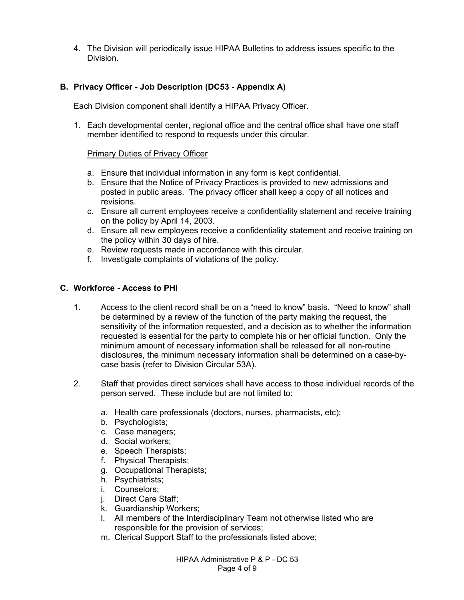4. The Division will periodically issue HIPAA Bulletins to address issues specific to the Division.

## **B. Privacy Officer - Job Description (DC53 - Appendix A)**

Each Division component shall identify a HIPAA Privacy Officer.

1. Each developmental center, regional office and the central office shall have one staff member identified to respond to requests under this circular.

#### Primary Duties of Privacy Officer

- a. Ensure that individual information in any form is kept confidential.
- b. Ensure that the Notice of Privacy Practices is provided to new admissions and posted in public areas. The privacy officer shall keep a copy of all notices and revisions.
- c. Ensure all current employees receive a confidentiality statement and receive training on the policy by April 14, 2003.
- d. Ensure all new employees receive a confidentiality statement and receive training on the policy within 30 days of hire.
- e. Review requests made in accordance with this circular.
- f. Investigate complaints of violations of the policy.

### **C. Workforce - Access to PHI**

- 1. Access to the client record shall be on a "need to know" basis. "Need to know" shall be determined by a review of the function of the party making the request, the sensitivity of the information requested, and a decision as to whether the information requested is essential for the party to complete his or her official function. Only the minimum amount of necessary information shall be released for all non-routine disclosures, the minimum necessary information shall be determined on a case-bycase basis (refer to Division Circular 53A).
- 2. Staff that provides direct services shall have access to those individual records of the person served. These include but are not limited to:
	- a. Health care professionals (doctors, nurses, pharmacists, etc);
	- b. Psychologists;
	- c. Case managers;
	- d. Social workers;
	- e. Speech Therapists;
	- f. Physical Therapists;
	- g. Occupational Therapists;
	- h. Psychiatrists;
	- i. Counselors;
	- j. Direct Care Staff;
	- k. Guardianship Workers;
	- l. All members of the Interdisciplinary Team not otherwise listed who are responsible for the provision of services;
	- m. Clerical Support Staff to the professionals listed above;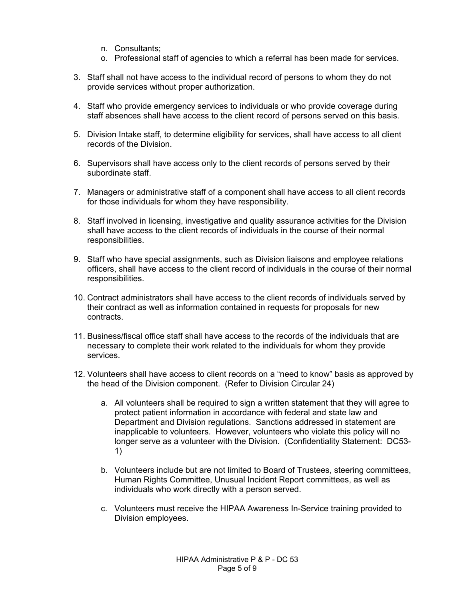- n. Consultants;
- o. Professional staff of agencies to which a referral has been made for services.
- 3. Staff shall not have access to the individual record of persons to whom they do not provide services without proper authorization.
- 4. Staff who provide emergency services to individuals or who provide coverage during staff absences shall have access to the client record of persons served on this basis.
- 5. Division Intake staff, to determine eligibility for services, shall have access to all client records of the Division.
- 6. Supervisors shall have access only to the client records of persons served by their subordinate staff.
- 7. Managers or administrative staff of a component shall have access to all client records for those individuals for whom they have responsibility.
- 8. Staff involved in licensing, investigative and quality assurance activities for the Division shall have access to the client records of individuals in the course of their normal responsibilities.
- 9. Staff who have special assignments, such as Division liaisons and employee relations officers, shall have access to the client record of individuals in the course of their normal responsibilities.
- 10. Contract administrators shall have access to the client records of individuals served by their contract as well as information contained in requests for proposals for new contracts.
- 11. Business/fiscal office staff shall have access to the records of the individuals that are necessary to complete their work related to the individuals for whom they provide services.
- 12. Volunteers shall have access to client records on a "need to know" basis as approved by the head of the Division component. (Refer to Division Circular 24)
	- a. All volunteers shall be required to sign a written statement that they will agree to protect patient information in accordance with federal and state law and Department and Division regulations. Sanctions addressed in statement are inapplicable to volunteers. However, volunteers who violate this policy will no longer serve as a volunteer with the Division. (Confidentiality Statement: DC53- 1)
	- b. Volunteers include but are not limited to Board of Trustees, steering committees, Human Rights Committee, Unusual Incident Report committees, as well as individuals who work directly with a person served.
	- c. Volunteers must receive the HIPAA Awareness In-Service training provided to Division employees.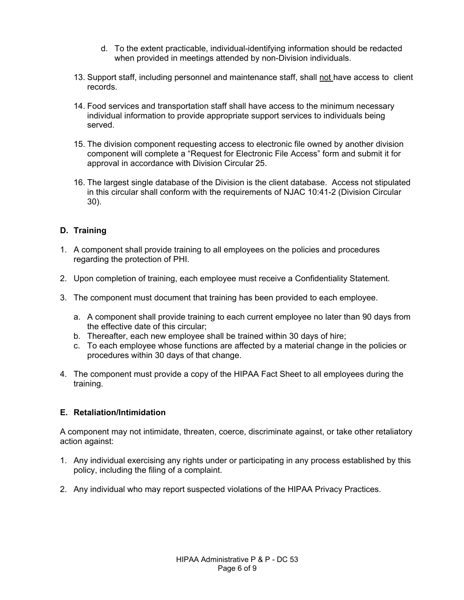- d. To the extent practicable, individual-identifying information should be redacted when provided in meetings attended by non-Division individuals.
- 13. Support staff, including personnel and maintenance staff, shall not have access to client records.
- 14. Food services and transportation staff shall have access to the minimum necessary individual information to provide appropriate support services to individuals being served.
- 15. The division component requesting access to electronic file owned by another division component will complete a "Request for Electronic File Access" form and submit it for approval in accordance with Division Circular 25.
- 16. The largest single database of the Division is the client database. Access not stipulated in this circular shall conform with the requirements of NJAC 10:41-2 (Division Circular 30).

# **D. Training**

- 1. A component shall provide training to all employees on the policies and procedures regarding the protection of PHI.
- 2. Upon completion of training, each employee must receive a Confidentiality Statement.
- 3. The component must document that training has been provided to each employee.
	- a. A component shall provide training to each current employee no later than 90 days from the effective date of this circular;
	- b. Thereafter, each new employee shall be trained within 30 days of hire;
	- c. To each employee whose functions are affected by a material change in the policies or procedures within 30 days of that change.
- 4. The component must provide a copy of the HIPAA Fact Sheet to all employees during the training.

# **E. Retaliation/Intimidation**

A component may not intimidate, threaten, coerce, discriminate against, or take other retaliatory action against:

- 1. Any individual exercising any rights under or participating in any process established by this policy, including the filing of a complaint.
- 2. Any individual who may report suspected violations of the HIPAA Privacy Practices.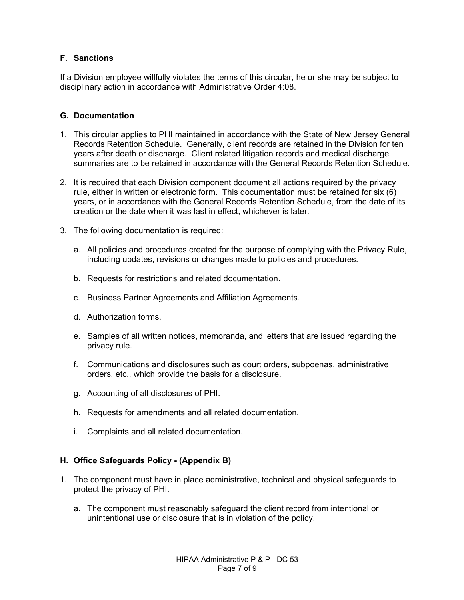## **F. Sanctions**

If a Division employee willfully violates the terms of this circular, he or she may be subject to disciplinary action in accordance with Administrative Order 4:08.

### **G. Documentation**

- 1. This circular applies to PHI maintained in accordance with the State of New Jersey General Records Retention Schedule. Generally, client records are retained in the Division for ten years after death or discharge. Client related litigation records and medical discharge summaries are to be retained in accordance with the General Records Retention Schedule.
- 2. It is required that each Division component document all actions required by the privacy rule, either in written or electronic form. This documentation must be retained for six (6) years, or in accordance with the General Records Retention Schedule, from the date of its creation or the date when it was last in effect, whichever is later.
- 3. The following documentation is required:
	- a. All policies and procedures created for the purpose of complying with the Privacy Rule, including updates, revisions or changes made to policies and procedures.
	- b. Requests for restrictions and related documentation.
	- c. Business Partner Agreements and Affiliation Agreements.
	- d. Authorization forms.
	- e. Samples of all written notices, memoranda, and letters that are issued regarding the privacy rule.
	- f. Communications and disclosures such as court orders, subpoenas, administrative orders, etc., which provide the basis for a disclosure.
	- g. Accounting of all disclosures of PHI.
	- h. Requests for amendments and all related documentation.
	- i. Complaints and all related documentation.

### **H. Office Safeguards Policy - (Appendix B)**

- 1. The component must have in place administrative, technical and physical safeguards to protect the privacy of PHI.
	- a. The component must reasonably safeguard the client record from intentional or unintentional use or disclosure that is in violation of the policy.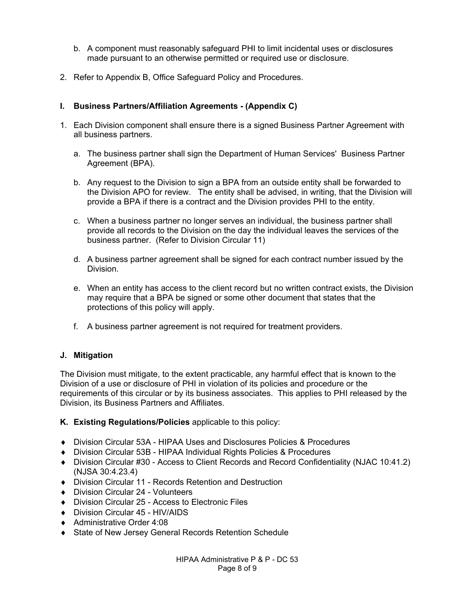- b. A component must reasonably safeguard PHI to limit incidental uses or disclosures made pursuant to an otherwise permitted or required use or disclosure.
- 2. Refer to Appendix B, Office Safeguard Policy and Procedures.

# **I. Business Partners/Affiliation Agreements - (Appendix C)**

- 1. Each Division component shall ensure there is a signed Business Partner Agreement with all business partners.
	- a. The business partner shall sign the Department of Human Services' Business Partner Agreement (BPA).
	- b. Any request to the Division to sign a BPA from an outside entity shall be forwarded to the Division APO for review. The entity shall be advised, in writing, that the Division will provide a BPA if there is a contract and the Division provides PHI to the entity.
	- c. When a business partner no longer serves an individual, the business partner shall provide all records to the Division on the day the individual leaves the services of the business partner. (Refer to Division Circular 11)
	- d. A business partner agreement shall be signed for each contract number issued by the Division.
	- e. When an entity has access to the client record but no written contract exists, the Division may require that a BPA be signed or some other document that states that the protections of this policy will apply.
	- f. A business partner agreement is not required for treatment providers.

# **J. Mitigation**

The Division must mitigate, to the extent practicable, any harmful effect that is known to the Division of a use or disclosure of PHI in violation of its policies and procedure or the requirements of this circular or by its business associates. This applies to PHI released by the Division, its Business Partners and Affiliates.

- **K. Existing Regulations/Policies** applicable to this policy:
- ♦ Division Circular 53A HIPAA Uses and Disclosures Policies & Procedures
- ♦ Division Circular 53B HIPAA Individual Rights Policies & Procedures
- ♦ Division Circular #30 Access to Client Records and Record Confidentiality (NJAC 10:41.2) (NJSA 30:4.23.4)
- ♦ Division Circular 11 Records Retention and Destruction
- ♦ Division Circular 24 Volunteers
- ♦ Division Circular 25 Access to Electronic Files
- ♦ Division Circular 45 HIV/AIDS
- ♦ Administrative Order 4:08
- ♦ State of New Jersey General Records Retention Schedule